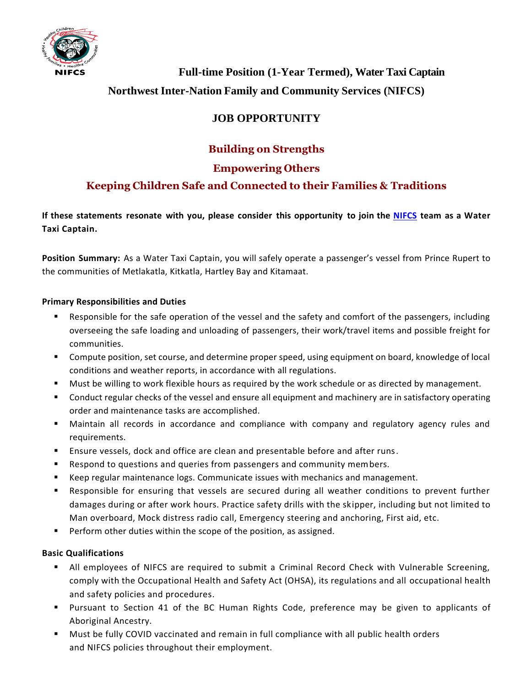

**Full-time Position (1-Year Termed), Water Taxi Captain Northwest Inter-Nation Family and Community Services (NIFCS)**

# **JOB OPPORTUNITY**

## **Building on Strengths**

### **Empowering Others**

### **Keeping Children Safe and Connected to their Families & Traditions**

If these statements resonate with you, please consider this opportunity to join the NIFCS team as a Water **Taxi Captain.**

**Position Summary:** As a Water Taxi Captain, you will safely operate a passenger's vessel from Prince Rupert to the communities of Metlakatla, Kitkatla, Hartley Bay and Kitamaat.

### **Primary Responsibilities and Duties**

- Responsible for the safe operation of the vessel and the safety and comfort of the passengers, including overseeing the safe loading and unloading of passengers, their work/travel items and possible freight for communities.
- Compute position, set course, and determine proper speed, using equipment on board, knowledge of local conditions and weather reports, in accordance with all regulations.
- Must be willing to work flexible hours as required by the work schedule or as directed by management.
- Conduct regular checks of the vessel and ensure all equipment and machinery are in satisfactory operating order and maintenance tasks are accomplished.
- Maintain all records in accordance and compliance with company and regulatory agency rules and requirements.
- Ensure vessels, dock and office are clean and presentable before and after runs.
- Respond to questions and queries from passengers and community members.
- Keep regular maintenance logs. Communicate issues with mechanics and management.
- Responsible for ensuring that vessels are secured during all weather conditions to prevent further damages during or after work hours. Practice safety drills with the skipper, including but not limited to Man overboard, Mock distress radio call, Emergency steering and anchoring, First aid, etc.
- Perform other duties within the scope of the position, as assigned.

### **Basic Qualifications**

- **EXTED All employees of NIFCS are required to submit a Criminal Record Check with Vulnerable Screening,** comply with the Occupational Health and Safety Act (OHSA), its regulations and all occupational health and safety policies and procedures.
- Pursuant to Section 41 of the BC Human Rights Code, preference may be given to applicants of Aboriginal Ancestry.
- Must be fully COVID vaccinated and remain in full compliance with all public health orders and NIFCS policies throughout their employment.